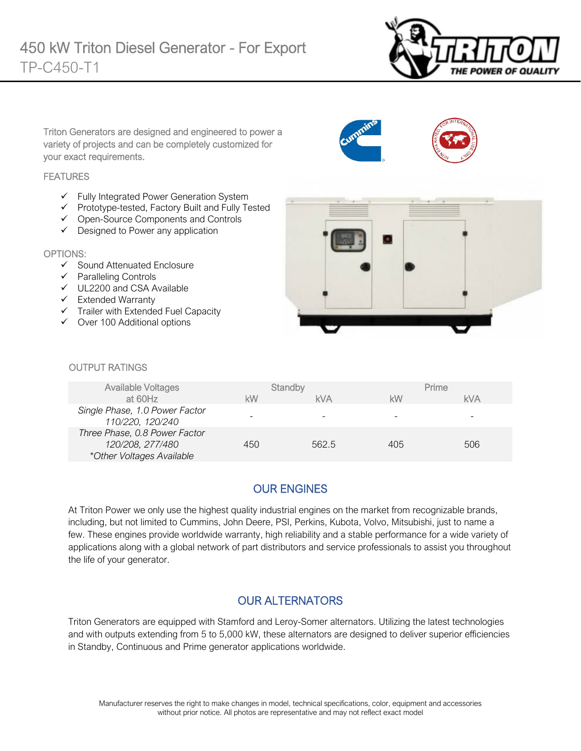

Triton Generators are designed and engineered to power a variety of projects and can be completely customized for your exact requirements.

#### **FEATURES**

- $\checkmark$  Fully Integrated Power Generation System
- Prototype-tested, Factory Built and Fully Tested
- Open-Source Components and Controls
- $\checkmark$  Designed to Power any application

#### OPTIONS:

- $\checkmark$  Sound Attenuated Enclosure
- $\checkmark$  Paralleling Controls
- UL2200 and CSA Available
- $\checkmark$  Extended Warranty
- $\checkmark$  Trailer with Extended Fuel Capacity
- $\checkmark$  Over 100 Additional options



#### **OUTPUT RATINGS**

| <b>Available Voltages</b>                                                      |     | Standby    |     | Prime |
|--------------------------------------------------------------------------------|-----|------------|-----|-------|
| at 60Hz                                                                        | kW  | <b>kVA</b> | kW  | kVA   |
| Single Phase, 1.0 Power Factor<br>110/220, 120/240                             |     |            |     |       |
| Three Phase, 0.8 Power Factor<br>120/208, 277/480<br>*Other Voltages Available | 450 | 562.5      | 405 | 506   |

### OUR ENGINES

At Triton Power we only use the highest quality industrial engines on the market from recognizable brands, including, but not limited to Cummins, John Deere, PSI, Perkins, Kubota, Volvo, Mitsubishi, just to name a few. These engines provide worldwide warranty, high reliability and a stable performance for a wide variety of applications along with a global network of part distributors and service professionals to assist you throughout the life of your generator.

### OUR ALTERNATORS

Triton Generators are equipped with Stamford and Leroy-Somer alternators. Utilizing the latest technologies and with outputs extending from 5 to 5,000 kW, these alternators are designed to deliver superior efficiencies in Standby, Continuous and Prime generator applications worldwide.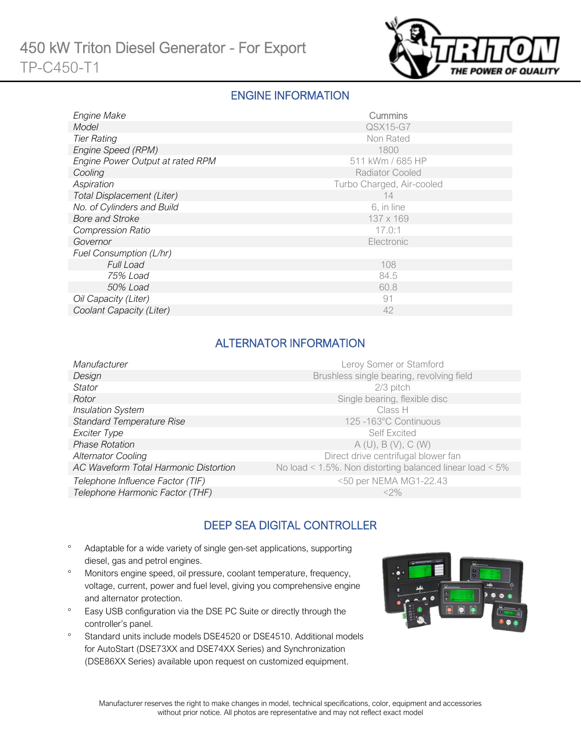

### ENGINE INFORMATION

| Engine Make                      | Cummins                   |
|----------------------------------|---------------------------|
| Model                            | QSX15-G7                  |
| <b>Tier Rating</b>               | Non Rated                 |
| Engine Speed (RPM)               | 1800                      |
| Engine Power Output at rated RPM | 511 kWm / 685 HP          |
| Cooling                          | <b>Radiator Cooled</b>    |
| Aspiration                       | Turbo Charged, Air-cooled |
| Total Displacement (Liter)       | 14                        |
| No. of Cylinders and Build       | 6, in line                |
| <b>Bore and Stroke</b>           | 137 x 169                 |
| <b>Compression Ratio</b>         | 17.0:1                    |
| Governor                         | Electronic                |
| Fuel Consumption (L/hr)          |                           |
| Full Load                        | 108                       |
| 75% Load                         | 84.5                      |
| 50% Load                         | 60.8                      |
| Oil Capacity (Liter)             | 91                        |
| Coolant Capacity (Liter)         | 42                        |

# ALTERNATOR INFORMATION

| Manufacturer                          | Leroy Somer or Stamford                                         |
|---------------------------------------|-----------------------------------------------------------------|
| Design                                | Brushless single bearing, revolving field                       |
| Stator                                | $2/3$ pitch                                                     |
| Rotor                                 | Single bearing, flexible disc                                   |
| <b>Insulation System</b>              | Class H                                                         |
| <b>Standard Temperature Rise</b>      | 125-163°C Continuous                                            |
| Exciter Type                          | <b>Self Excited</b>                                             |
| <b>Phase Rotation</b>                 | A(U), B(V), C(W)                                                |
| <b>Alternator Cooling</b>             | Direct drive centrifugal blower fan                             |
| AC Waveform Total Harmonic Distortion | No load < $1.5\%$ . Non distorting balanced linear load < $5\%$ |
| Telephone Influence Factor (TIF)      | <50 per NEMA MG1-22.43                                          |
| Telephone Harmonic Factor (THF)       | $<$ 2%                                                          |

# DEEP SEA DIGITAL CONTROLLER

- ° Adaptable for a wide variety of single gen-set applications, supporting diesel, gas and petrol engines.
- ° Monitors engine speed, oil pressure, coolant temperature, frequency, voltage, current, power and fuel level, giving you comprehensive engine and alternator protection.
- ° Easy USB configuration via the DSE PC Suite or directly through the controller's panel.
- ° Standard units include models DSE4520 or DSE4510. Additional models for AutoStart (DSE73XX and DSE74XX Series) and Synchronization (DSE86XX Series) available upon request on customized equipment.

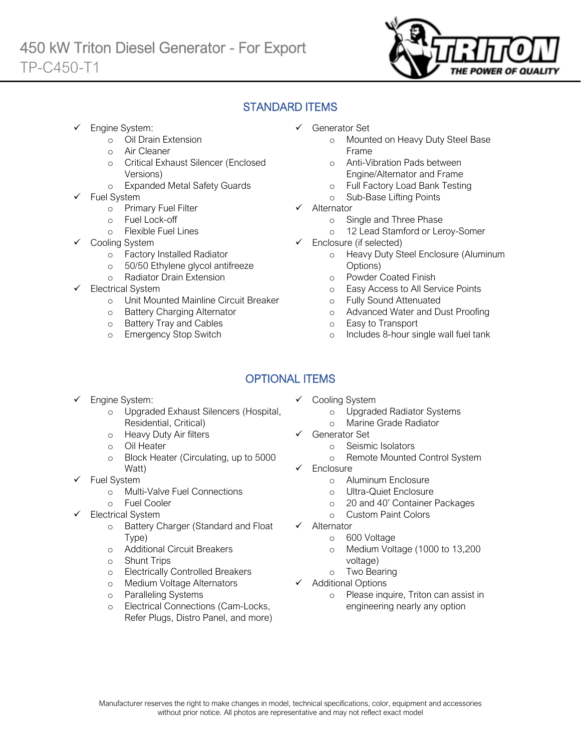

# STANDARD ITEMS

- Engine System:
	- o Oil Drain Extension
	- o Air Cleaner
	- o Critical Exhaust Silencer (Enclosed Versions)
	- o Expanded Metal Safety Guards
- Fuel System
	- o Primary Fuel Filter
	- o Fuel Lock-off
		- o Flexible Fuel Lines
	- Cooling System
		- o Factory Installed Radiator<br>
		o 50/50 Ethylene glycol antif
		- 50/50 Ethylene glycol antifreeze
		- o Radiator Drain Extension
- Electrical System
	- o Unit Mounted Mainline Circuit Breaker
	- o Battery Charging Alternator
	- o Battery Tray and Cables
	- o Emergency Stop Switch
- Generator Set
	- o Mounted on Heavy Duty Steel Base Frame
	- o Anti-Vibration Pads between Engine/Alternator and Frame
	- o Full Factory Load Bank Testing
	- o Sub-Base Lifting Points
- $\checkmark$  Alternator
	- o Single and Three Phase
	- o 12 Lead Stamford or Leroy-Somer
- $\checkmark$  Enclosure (if selected)
	- o Heavy Duty Steel Enclosure (Aluminum Options)
	- o Powder Coated Finish
	- o Easy Access to All Service Points
	- o Fully Sound Attenuated
	- o Advanced Water and Dust Proofing
	- o Easy to Transport
	- o Includes 8-hour single wall fuel tank

# OPTIONAL ITEMS

- Engine System:
	- o Upgraded Exhaust Silencers (Hospital, Residential, Critical)
	- o Heavy Duty Air filters
	- o Oil Heater
	- o Block Heater (Circulating, up to 5000 Watt)
- $\checkmark$  Fuel System
	- o Multi-Valve Fuel Connections
	- o Fuel Cooler
- Electrical System
	- o Battery Charger (Standard and Float Type)
	- o Additional Circuit Breakers
	- o Shunt Trips
	- o Electrically Controlled Breakers
	- o Medium Voltage Alternators
	- o Paralleling Systems
	- o Electrical Connections (Cam-Locks, Refer Plugs, Distro Panel, and more)
- $\checkmark$  Cooling System
	- o Upgraded Radiator Systems
	- o Marine Grade Radiator
- Generator Set
	- o Seismic Isolators
	- o Remote Mounted Control System
- Enclosure
	- o Aluminum Enclosure
	- o Ultra-Quiet Enclosure
	- o 20 and 40' Container Packages
	- o Custom Paint Colors
- $\checkmark$  Alternator
	- o 600 Voltage
	- o Medium Voltage (1000 to 13,200 voltage)
	- o Two Bearing
- $\checkmark$  Additional Options
	- o Please inquire, Triton can assist in engineering nearly any option